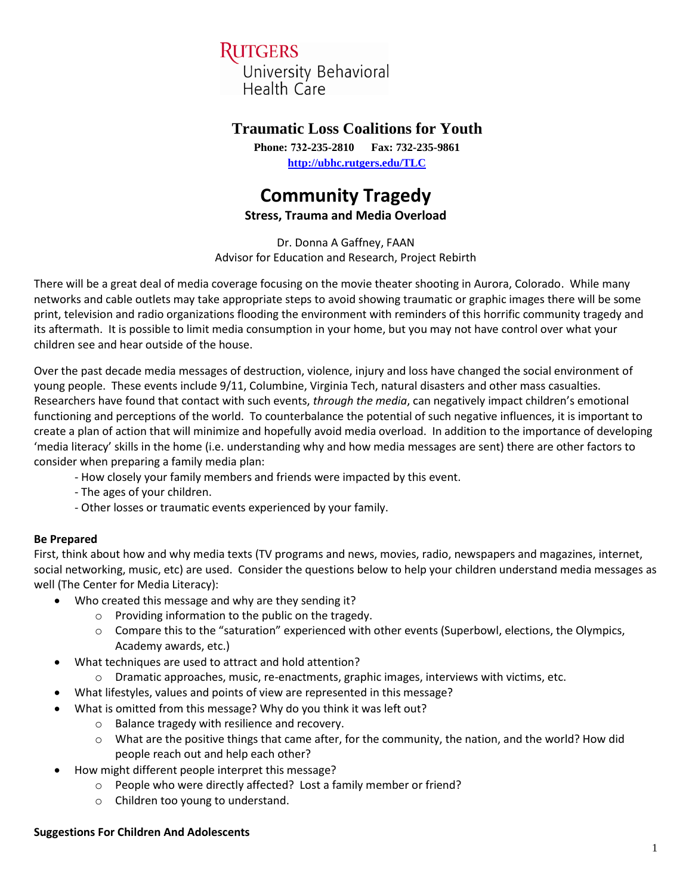## RUTGERS University Behavioral

Health Care

### **Traumatic Loss Coalitions for Youth**

**Phone: 732-235-2810 Fax: 732-235-9861 <http://ubhc.rutgers.edu/TLC>**

# **Community Tragedy**

**Stress, Trauma and Media Overload** 

Dr. Donna A Gaffney, FAAN Advisor for Education and Research, Project Rebirth

There will be a great deal of media coverage focusing on the movie theater shooting in Aurora, Colorado. While many networks and cable outlets may take appropriate steps to avoid showing traumatic or graphic images there will be some print, television and radio organizations flooding the environment with reminders of this horrific community tragedy and its aftermath. It is possible to limit media consumption in your home, but you may not have control over what your children see and hear outside of the house.

Over the past decade media messages of destruction, violence, injury and loss have changed the social environment of young people. These events include 9/11, Columbine, Virginia Tech, natural disasters and other mass casualties. Researchers have found that contact with such events, *through the media*, can negatively impact children's emotional functioning and perceptions of the world. To counterbalance the potential of such negative influences, it is important to create a plan of action that will minimize and hopefully avoid media overload. In addition to the importance of developing 'media literacy' skills in the home (i.e. understanding why and how media messages are sent) there are other factors to consider when preparing a family media plan:

- How closely your family members and friends were impacted by this event.
- The ages of your children.
- Other losses or traumatic events experienced by your family.

### **Be Prepared**

First, think about how and why media texts (TV programs and news, movies, radio, newspapers and magazines, internet, social networking, music, etc) are used. Consider the questions below to help your children understand media messages as well (The Center for Media Literacy):

- Who created this message and why are they sending it?
	- o Providing information to the public on the tragedy.
		- $\circ$  Compare this to the "saturation" experienced with other events (Superbowl, elections, the Olympics, Academy awards, etc.)
- What techniques are used to attract and hold attention?
	- Dramatic approaches, music, re-enactments, graphic images, interviews with victims, etc.
- What lifestyles, values and points of view are represented in this message?
- What is omitted from this message? Why do you think it was left out?
	- o Balance tragedy with resilience and recovery.
	- o What are the positive things that came after, for the community, the nation, and the world? How did people reach out and help each other?
- How might different people interpret this message?
	- o People who were directly affected? Lost a family member or friend?
	- o Children too young to understand.

#### **Suggestions For Children And Adolescents**